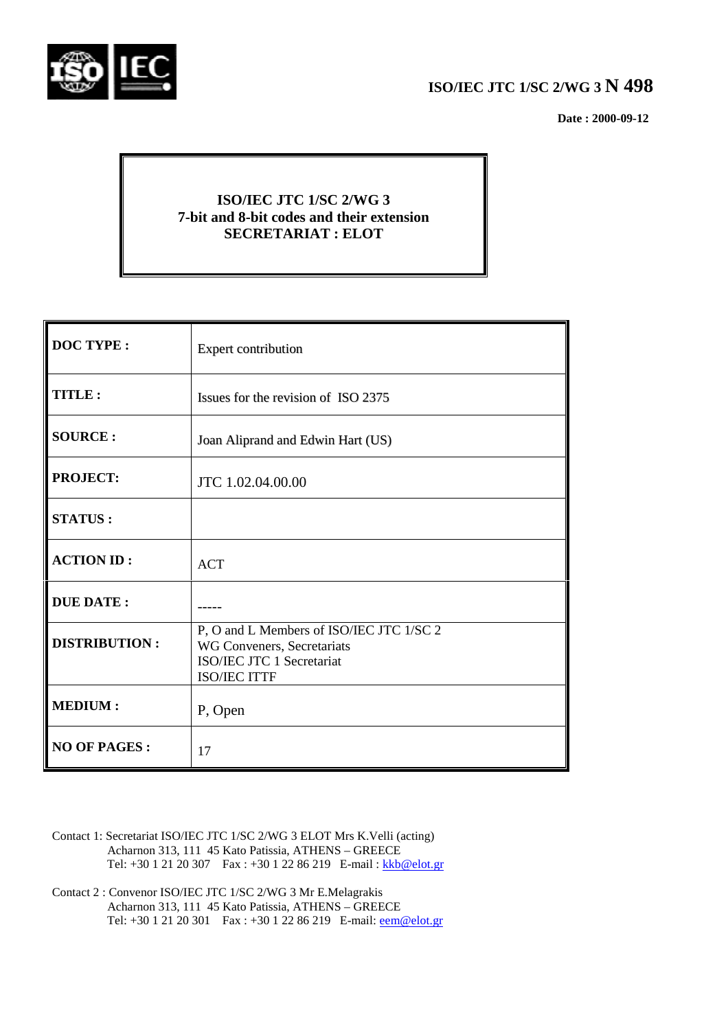

 **Date : 2000-09-12**

# **ISO/IEC JTC 1/SC 2/WG 3 7-bit and 8-bit codes and their extension SECRETARIAT : ELOT**

| <b>DOC TYPE:</b>     | <b>Expert contribution</b>                                                                                                 |
|----------------------|----------------------------------------------------------------------------------------------------------------------------|
| <b>TITLE:</b>        | Issues for the revision of ISO 2375                                                                                        |
| <b>SOURCE:</b>       | Joan Aliprand and Edwin Hart (US)                                                                                          |
| <b>PROJECT:</b>      | JTC 1.02.04.00.00                                                                                                          |
| <b>STATUS:</b>       |                                                                                                                            |
| <b>ACTION ID:</b>    | <b>ACT</b>                                                                                                                 |
| <b>DUE DATE:</b>     |                                                                                                                            |
| <b>DISTRIBUTION:</b> | P, O and L Members of ISO/IEC JTC 1/SC 2<br>WG Conveners, Secretariats<br>ISO/IEC JTC 1 Secretariat<br><b>ISO/IEC ITTF</b> |
| <b>MEDIUM:</b>       | P, Open                                                                                                                    |
| <b>NO OF PAGES:</b>  | 17                                                                                                                         |

- Contact 1: Secretariat ISO/IEC JTC 1/SC 2/WG 3 ELOT Mrs K.Velli (acting) Acharnon 313, 111 45 Kato Patissia, ATHENS – GREECE Tel: +30 1 21 20 307 Fax : +30 1 22 86 219 E-mail : kkb@elot.gr
- Contact 2 : Convenor ISO/IEC JTC 1/SC 2/WG 3 Mr E.Melagrakis Acharnon 313, 111 45 Kato Patissia, ATHENS – GREECE Tel: +30 1 21 20 301 Fax : +30 1 22 86 219 E-mail: <u>eem@elot.gr</u>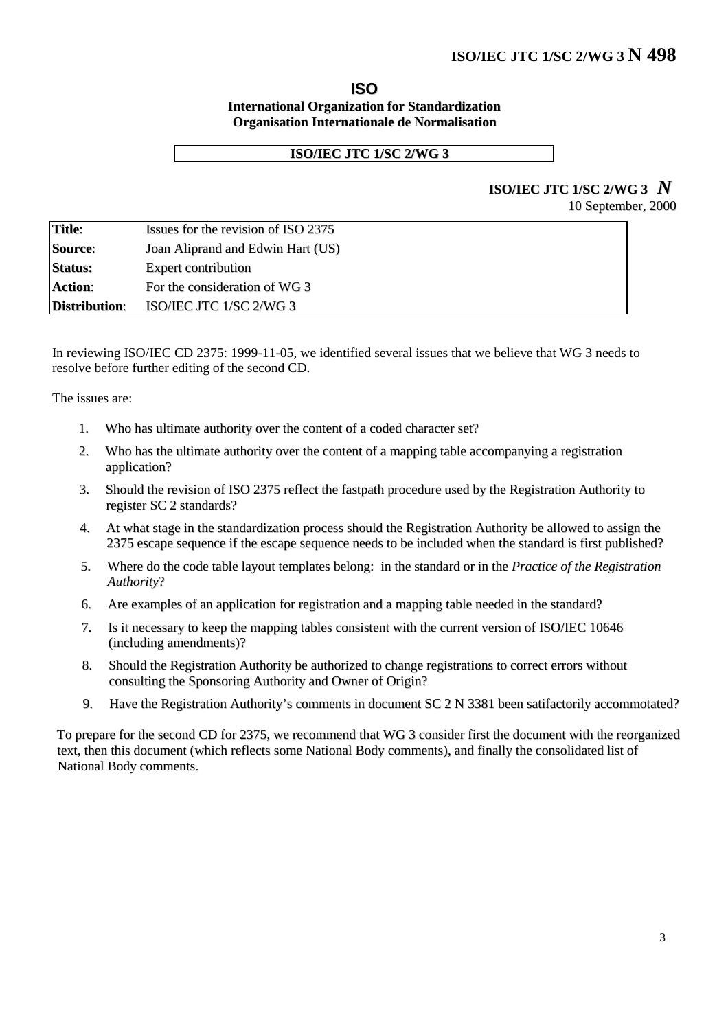#### **ISO International Organization for Standardization Organisation Internationale de Normalisation**

#### **ISO/IEC JTC 1/SC 2/WG 3**

# **ISO/IEC JTC 1/SC 2/WG <sup>3</sup>** *N*

| 10 September, 2000 |  |
|--------------------|--|
|--------------------|--|

|                      | Issues for the revision of ISO 2375 |  |
|----------------------|-------------------------------------|--|
| Source:              | Joan Aliprand and Edwin Hart (US)   |  |
| <b>Status:</b>       | <b>Expert contribution</b>          |  |
| Action:              | For the consideration of WG 3       |  |
| <b>Distribution:</b> | ISO/IEC JTC 1/SC 2/WG 3             |  |

In reviewing ISO/IEC CD 2375: 1999-11-05, we identified several issues that we believe that WG 3 needs to resolve before further editing of the second CD.

The issues are:

- 1. Who has ultimate authority over the content of a coded character set?
- 2. Who has the ultimate authority over the content of a mapping table accompanying a registration application?
- 3. Should the revision of ISO 2375 reflect the fastpath procedure used by the Registration Authority to register SC 2 standards?
- 4. At what stage in the standardization process should the Registration Authority be allowed to assign the 2375 escape sequence if the escape sequence needs to be included when the standard is first published?
- 5. Where do the code table layout templates belong: in the standard or in the *Practice of the Registration Authority*?
- 6. Are examples of an application for registration and a mapping table needed in the standard?
- 7. Is it necessary to keep the mapping tables consistent with the current version of ISO/IEC 10646 (including amendments)?
- 8. Should the Registration Authority be authorized to change registrations to correct errors without consulting the Sponsoring Authority and Owner of Origin?
- 9. Have the Registration Authority's comments in document SC 2 N 3381 been satifactorily accommotated?

To prepare for the second CD for 2375, we recommend that WG 3 consider first the document with the reorganized text, then this document (which reflects some National Body comments), and finally the consolidated list of National Body comments.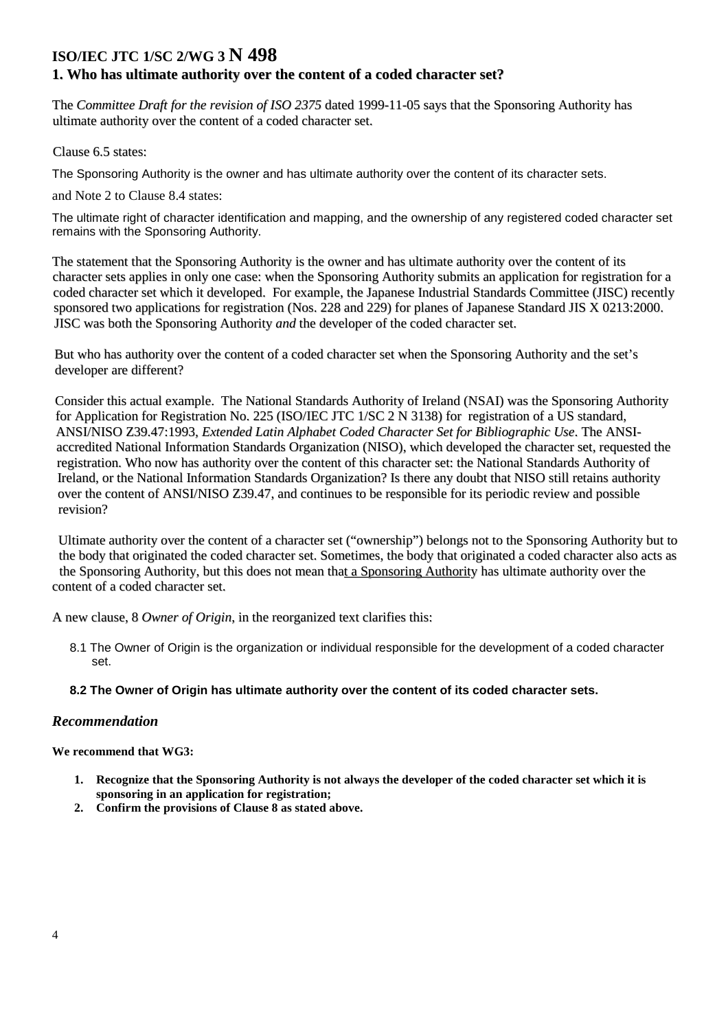### **1. Who has ultimate authority over the content of a coded character set?**

The *Committee Draft for the revision of ISO 2375* dated 1999-11-05 says that the Sponsoring Authority has ultimate authority over the content of a coded character set.

Clause 6.5 states:

The Sponsoring Authority is the owner and has ultimate authority over the content of its character sets.

and Note 2 to Clause 8.4 states:

The ultimate right of character identification and mapping, and the ownership of any registered coded character set remains with the Sponsoring Authority.

The statement that the Sponsoring Authority is the owner and has ultimate authority over the content of its character sets applies in only one case: when the Sponsoring Authority submits an application for registration for a coded character set which it developed. For example, the Japanese Industrial Standards Committee (JISC) recently sponsored two applications for registration (Nos. 228 and 229) for planes of Japanese Standard JIS X 0213:2000. JISC was both the Sponsoring Authority *and* the developer of the coded character set.

But who has authority over the content of a coded character set when the Sponsoring Authority and the set's developer are different?

Consider this actual example. The National Standards Authority of Ireland (NSAI) was the Sponsoring Authority for Application for Registration No. 225 (ISO/IEC JTC 1/SC 2 N 3138) for registration of a US standard, ANSI/NISO Z39.47:1993*, Extended Latin Alphabet Coded Character Set for Bibliographic Use*. The ANSIaccredited National Information Standards Organization (NISO), which developed the character set, requested the registration. Who now has authority over the content of this character set: the National Standards Authority of Ireland, or the National Information Standards Organization? Is there any doubt that NISO still retains authority over the content of ANSI/NISO Z39.47, and continues to be responsible for its periodic review and possible revision?

Ultimate authority over the content of a character set ("ownership") belongs not to the Sponsoring Authority but to the body that originated the coded character set. Sometimes, the body that originated a coded character also acts as the Sponsoring Authority, but this does not mean that a Sponsoring Authority has ultimate authority over the content of a coded character set.

A new clause, 8 *Owner of Origin*, in the reorganized text clarifies this:

8.1 The Owner of Origin is the organization or individual responsible for the development of a coded character set.

#### **8.2 The Owner of Origin has ultimate authority over the content of its coded character sets.**

#### *Recommendation*

- **1. Recognize that the Sponsoring Authority is not always the developer of the coded character set which it is sponsoring in an application for registration;**
- **2. Confirm the provisions of Clause 8 as stated above.**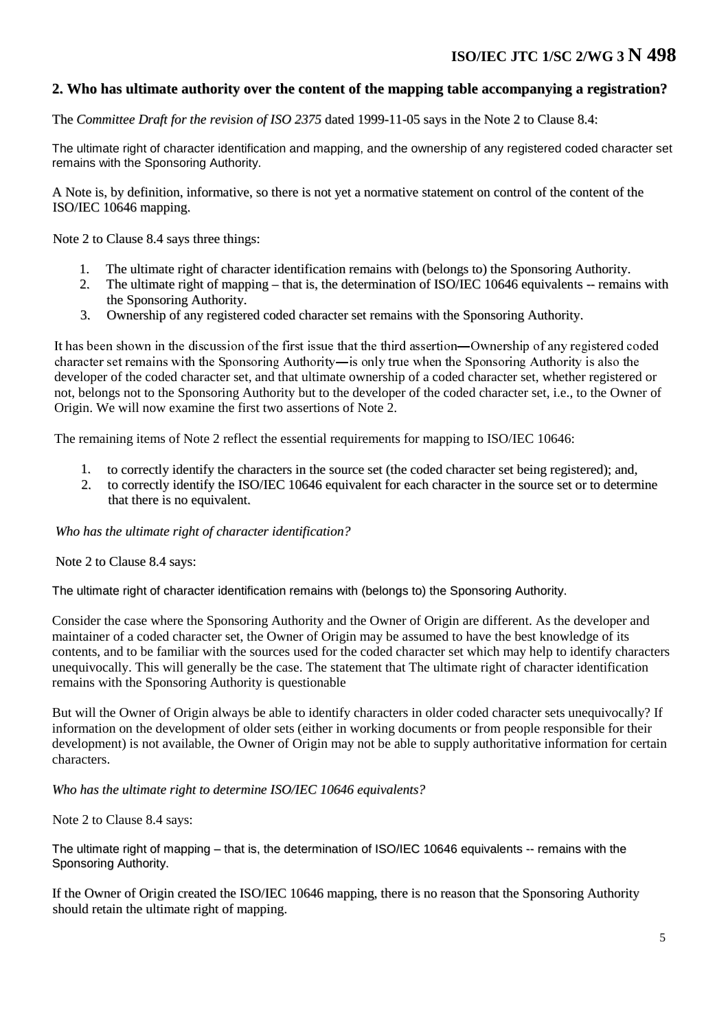## **2. Who has ultimate authority over the content of the mapping table accompanying a registration?**

The *Committee Draft for the revision of ISO 2375* dated 1999-11-05 says in the Note 2 to Clause 8.4:

The ultimate right of character identification and mapping, and the ownership of any registered coded character set remains with the Sponsoring Authority.

A Note is, by definition, informative, so there is not yet a normative statement on control of the content of the ISO/IEC 10646 mapping.

Note 2 to Clause 8.4 says three things:

- 1. The ultimate right of character identification remains with (belongs to) the Sponsoring Authority.
- 2. The ultimate right of mapping that is, the determination of ISO/IEC 10646 equivalents -- remains with the Sponsoring Authority.
- 3. Ownership of any registered coded character set remains with the Sponsoring Authority.

It has been shown in the discussion of the first issue that the third assertion—Ownership of any registered coded character set remains with the Sponsoring Authority—is only true when the Sponsoring Authority is also the developer of the coded character set, and that ultimate ownership of a coded character set, whether registered or not, belongs not to the Sponsoring Authority but to the developer of the coded character set, i.e., to the Owner of Origin. We will now examine the first two assertions of Note 2.

The remaining items of Note 2 reflect the essential requirements for mapping to ISO/IEC 10646:

- 1. to correctly identify the characters in the source set (the coded character set being registered); and,
- 2. to correctly identify the ISO/IEC 10646 equivalent for each character in the source set or to determine that there is no equivalent.

*Who has the ultimate right of character identification?*

Note 2 to Clause 8.4 says:

The ultimate right of character identification remains with (belongs to) the Sponsoring Authority.

Consider the case where the Sponsoring Authority and the Owner of Origin are different. As the developer and maintainer of a coded character set, the Owner of Origin may be assumed to have the best knowledge of its contents, and to be familiar with the sources used for the coded character set which may help to identify characters unequivocally. This will generally be the case. The statement that The ultimate right of character identification remains with the Sponsoring Authority is questionable

But will the Owner of Origin always be able to identify characters in older coded character sets unequivocally? If information on the development of older sets (either in working documents or from people responsible for their development) is not available, the Owner of Origin may not be able to supply authoritative information for certain characters.

*Who has the ultimate right to determine ISO/IEC 10646 equivalents?*

Note 2 to Clause 8.4 says:

The ultimate right of mapping – that is, the determination of ISO/IEC 10646 equivalents -- remains with the Sponsoring Authority.

If the Owner of Origin created the ISO/IEC 10646 mapping, there is no reason that the Sponsoring Authority should retain the ultimate right of mapping.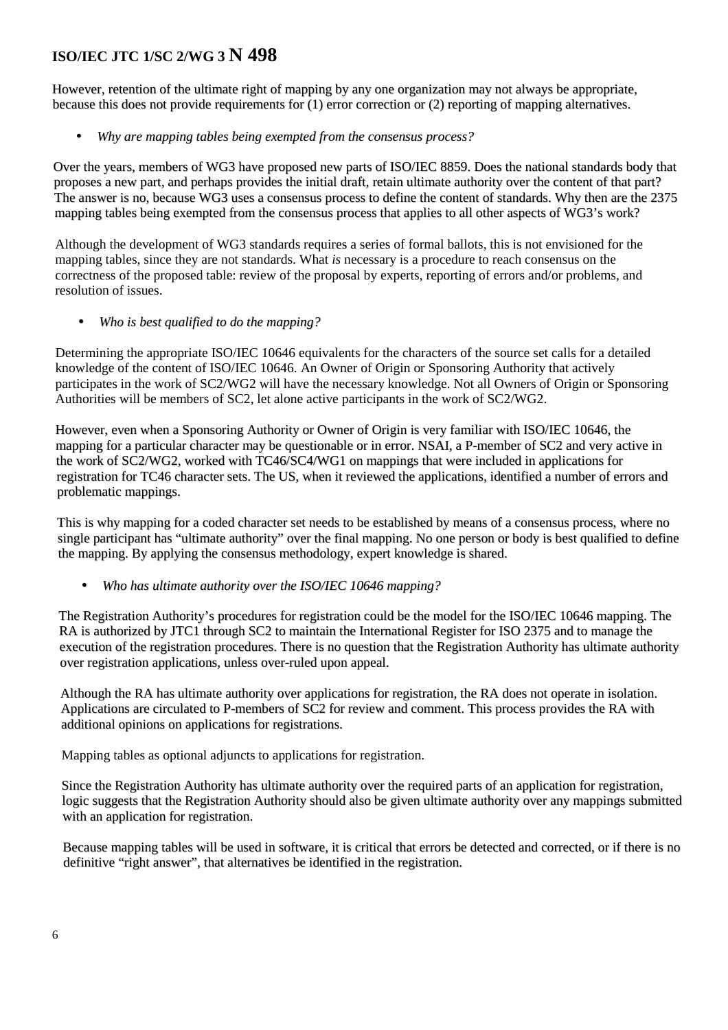However, retention of the ultimate right of mapping by any one organization may not always be appropriate, because this does not provide requirements for (1) error correction or (2) reporting of mapping alternatives.

• *Why are mapping tables being exempted from the consensus process?*

Over the years, members of WG3 have proposed new parts of ISO/IEC 8859. Does the national standards body that proposes a new part, and perhaps provides the initial draft, retain ultimate authority over the content of that part? The answer is no, because WG3 uses a consensus process to define the content of standards. Why then are the 2375 mapping tables being exempted from the consensus process that applies to all other aspects of WG3's work?

Although the development of WG3 standards requires a series of formal ballots, this is not envisioned for the mapping tables, since they are not standards. What *is* necessary is a procedure to reach consensus on the correctness of the proposed table: review of the proposal by experts, reporting of errors and/or problems, and resolution of issues.

• *Who is best qualified to do the mapping?*

Determining the appropriate ISO/IEC 10646 equivalents for the characters of the source set calls for a detailed knowledge of the content of ISO/IEC 10646. An Owner of Origin or Sponsoring Authority that actively participates in the work of SC2/WG2 will have the necessary knowledge. Not all Owners of Origin or Sponsoring Authorities will be members of SC2, let alone active participants in the work of SC2/WG2.

However, even when a Sponsoring Authority or Owner of Origin is very familiar with ISO/IEC 10646, the mapping for a particular character may be questionable or in error. NSAI, a P-member of SC2 and very active in the work of SC2/WG2, worked with TC46/SC4/WG1 on mappings that were included in applications for registration for TC46 character sets. The US, when it reviewed the applications, identified a number of errors and problematic mappings.

This is why mapping for a coded character set needs to be established by means of a consensus process, where no single participant has "ultimate authority" over the final mapping. No one person or body is best qualified to define the mapping. By applying the consensus methodology, expert knowledge is shared.

• *Who has ultimate authority over the ISO/IEC 10646 mapping?*

The Registration Authority's procedures for registration could be the model for the ISO/IEC 10646 mapping. The RA is authorized by JTC1 through SC2 to maintain the International Register for ISO 2375 and to manage the execution of the registration procedures. There is no question that the Registration Authority has ultimate authority over registration applications, unless over-ruled upon appeal.

Although the RA has ultimate authority over applications for registration, the RA does not operate in isolation. Applications are circulated to P-members of SC2 for review and comment. This process provides the RA with additional opinions on applications for registrations.

Mapping tables as optional adjuncts to applications for registration.

Since the Registration Authority has ultimate authority over the required parts of an application for registration, logic suggests that the Registration Authority should also be given ultimate authority over any mappings submitted with an application for registration.

Because mapping tables will be used in software, it is critical that errors be detected and corrected, or if there is no definitive "right answer", that alternatives be identified in the registration.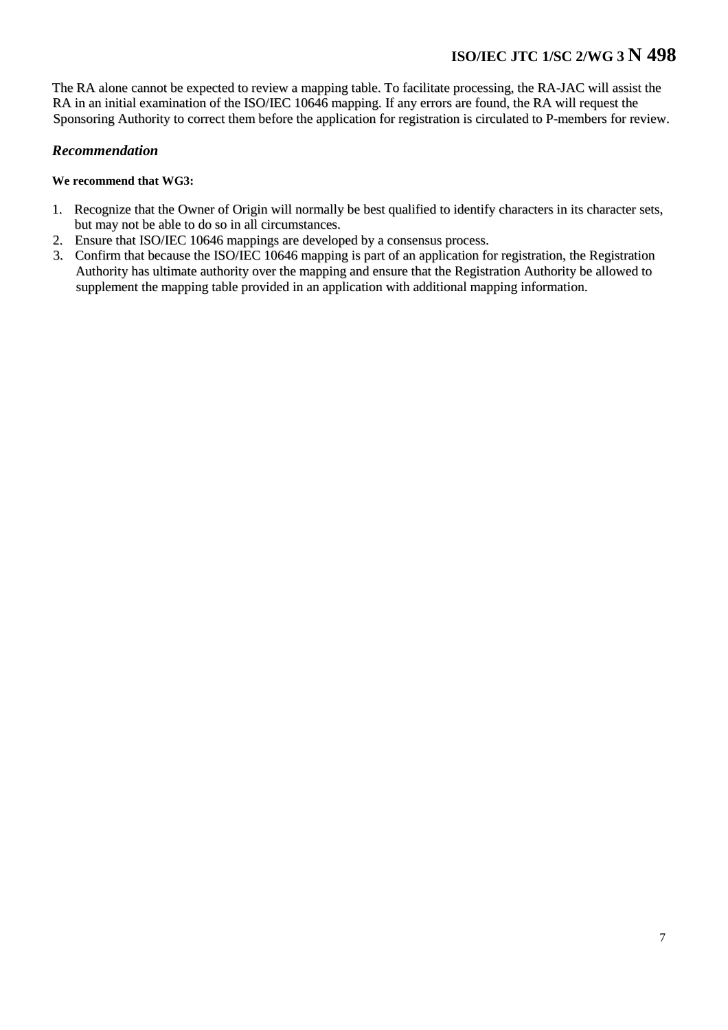The RA alone cannot be expected to review a mapping table. To facilitate processing, the RA-JAC will assist the RA in an initial examination of the ISO/IEC 10646 mapping. If any errors are found, the RA will request the Sponsoring Authority to correct them before the application for registration is circulated to P-members for review.

### *Recommendation*

- 1. Recognize that the Owner of Origin will normally be best qualified to identify characters in its character sets, but may not be able to do so in all circumstances.
- 2. Ensure that ISO/IEC 10646 mappings are developed by a consensus process.
- 3. Confirm that because the ISO/IEC 10646 mapping is part of an application for registration, the Registration Authority has ultimate authority over the mapping and ensure that the Registration Authority be allowed to supplement the mapping table provided in an application with additional mapping information.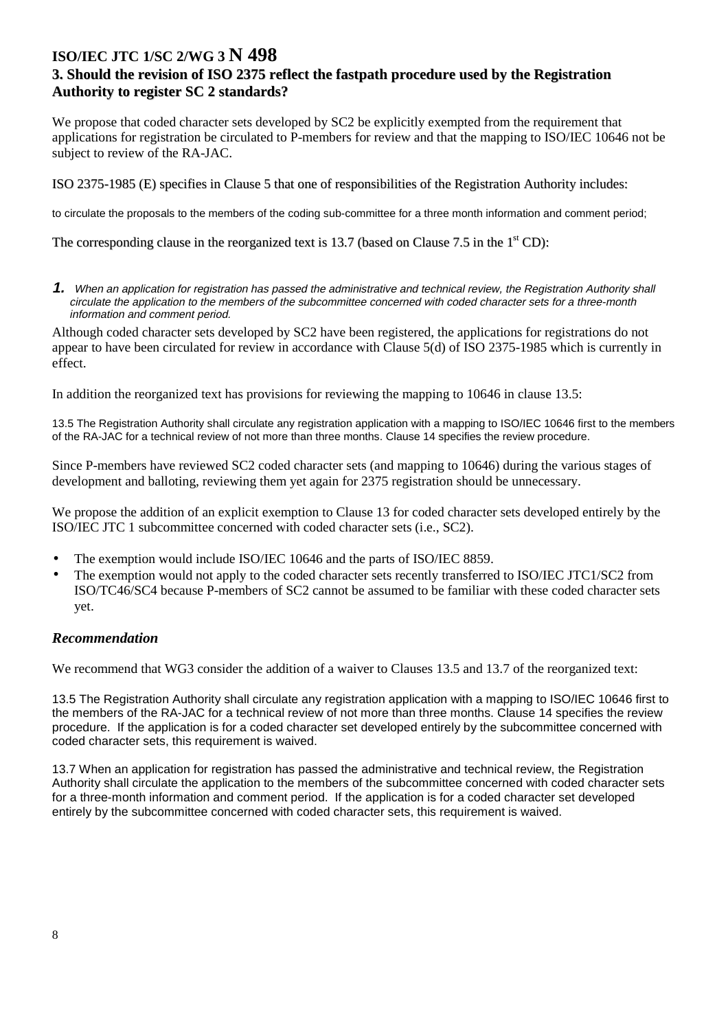## **3. Should the revision of ISO 2375 reflect the fastpath procedure used by the Registration Authority to register SC 2 standards?**

We propose that coded character sets developed by SC2 be explicitly exempted from the requirement that applications for registration be circulated to P-members for review and that the mapping to ISO/IEC 10646 not be subject to review of the RA-JAC.

ISO 2375-1985 (E) specifies in Clause 5 that one of responsibilities of the Registration Authority includes:

to circulate the proposals to the members of the coding sub-committee for a three month information and comment period;

The corresponding clause in the reorganized text is 13.7 (based on Clause 7.5 in the  $1<sup>st</sup>$ CD):

**1.** When an application for registration has passed the administrative and technical review, the Registration Authority shall circulate the application to the members of the subcommittee concerned with coded character sets for a three-month information and comment period.

Although coded character sets developed by SC2 have been registered, the applications for registrations do not appear to have been circulated for review in accordance with Clause 5(d) of ISO 2375-1985 which is currently in effect.

In addition the reorganized text has provisions for reviewing the mapping to 10646 in clause 13.5:

13.5 The Registration Authority shall circulate any registration application with a mapping to ISO/IEC 10646 first to the members of the RA-JAC for a technical review of not more than three months. Clause 14 specifies the review procedure.

Since P-members have reviewed SC2 coded character sets (and mapping to 10646) during the various stages of development and balloting, reviewing them yet again for 2375 registration should be unnecessary.

We propose the addition of an explicit exemption to Clause 13 for coded character sets developed entirely by the ISO/IEC JTC 1 subcommittee concerned with coded character sets (i.e., SC2).

- The exemption would include ISO/IEC 10646 and the parts of ISO/IEC 8859.
- The exemption would not apply to the coded character sets recently transferred to ISO/IEC JTC1/SC2 from ISO/TC46/SC4 because P-members of SC2 cannot be assumed to be familiar with these coded character sets yet.

### *Recommendation*

We recommend that WG3 consider the addition of a waiver to Clauses 13.5 and 13.7 of the reorganized text:

13.5 The Registration Authority shall circulate any registration application with a mapping to ISO/IEC 10646 first to the members of the RA-JAC for a technical review of not more than three months. Clause 14 specifies the review procedure. If the application is for a coded character set developed entirely by the subcommittee concerned with coded character sets, this requirement is waived.

13.7 When an application for registration has passed the administrative and technical review, the Registration Authority shall circulate the application to the members of the subcommittee concerned with coded character sets for a three-month information and comment period. If the application is for a coded character set developed entirely by the subcommittee concerned with coded character sets, this requirement is waived.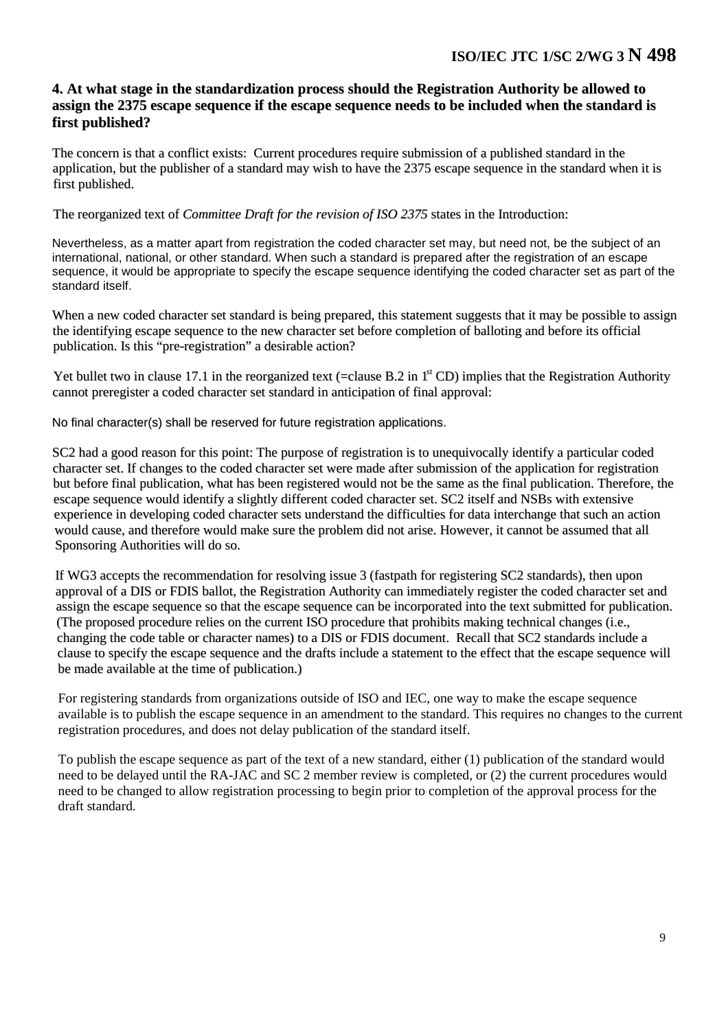### **4. At what stage in the standardization process should the Registration Authority be allowed to assign the 2375 escape sequence if the escape sequence needs to be included when the standard is first published?**

The concern is that a conflict exists: Current procedures require submission of a published standard in the application, but the publisher of a standard may wish to have the 2375 escape sequence in the standard when it is first published.

The reorganized text of *Committee Draft for the revision of ISO 2375* states in the Introduction:

Nevertheless, as a matter apart from registration the coded character set may, but need not, be the subject of an international, national, or other standard. When such a standard is prepared after the registration of an escape sequence, it would be appropriate to specify the escape sequence identifying the coded character set as part of the standard itself.

When a new coded character set standard is being prepared, this statement suggests that it may be possible to assign the identifying escape sequence to the new character set before completion of balloting and before its official publication. Is this "pre-registration" a desirable action?

Yet bullet two in clause 17.1 in the reorganized text (=clause B.2 in  $1<sup>st</sup>$  CD) implies that the Registration Authority cannot preregister a coded character set standard in anticipation of final approval:

No final character(s) shall be reserved for future registration applications.

SC2 had a good reason for this point: The purpose of registration is to unequivocally identify a particular coded character set. If changes to the coded character set were made after submission of the application for registration but before final publication, what has been registered would not be the same as the final publication. Therefore, the escape sequence would identify a slightly different coded character set. SC2 itself and NSBs with extensive experience in developing coded character sets understand the difficulties for data interchange that such an action would cause, and therefore would make sure the problem did not arise. However, it cannot be assumed that all Sponsoring Authorities will do so.

If WG3 accepts the recommendation for resolving issue 3 (fastpath for registering SC2 standards), then upon approval of a DIS or FDIS ballot, the Registration Authority can immediately register the coded character set and assign the escape sequence so that the escape sequence can be incorporated into the text submitted for publication. (The proposed procedure relies on the current ISO procedure that prohibits making technical changes (i.e., changing the code table or character names) to a DIS or FDIS document. Recall that SC2 standards include a clause to specify the escape sequence and the drafts include a statement to the effect that the escape sequence will be made available at the time of publication.)

For registering standards from organizations outside of ISO and IEC, one way to make the escape sequence available is to publish the escape sequence in an amendment to the standard. This requires no changes to the current registration procedures, and does not delay publication of the standard itself.

To publish the escape sequence as part of the text of a new standard, either (1) publication of the standard would need to be delayed until the RA-JAC and SC 2 member review is completed, or (2) the current procedures would need to be changed to allow registration processing to begin prior to completion of the approval process for the draft standard.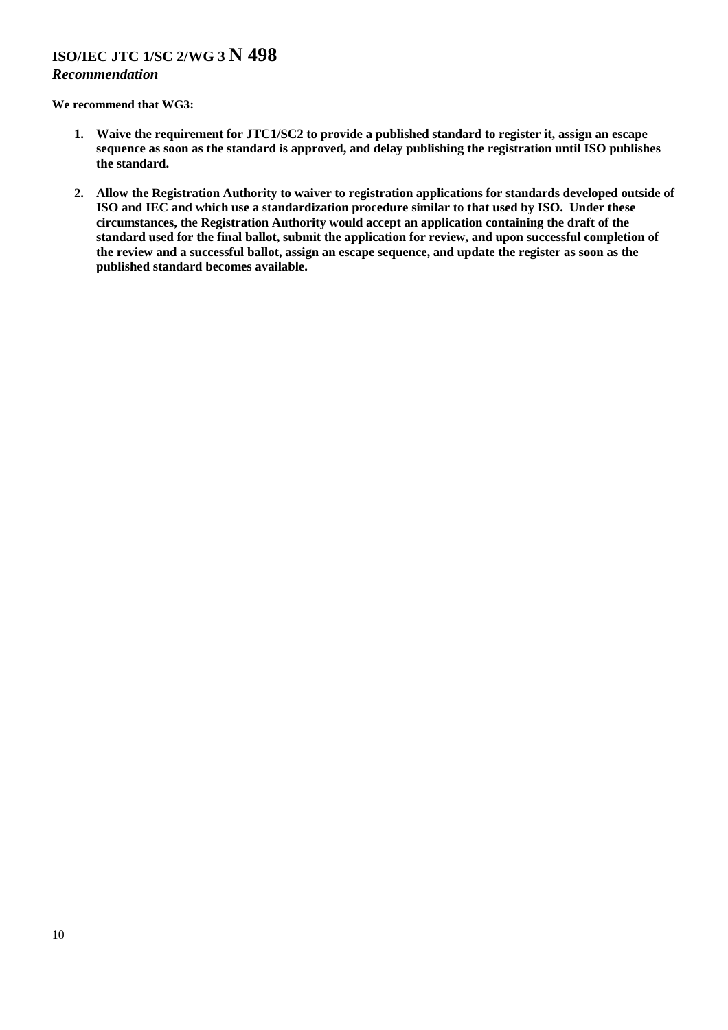### *Recommendation*

- **1. Waive the requirement for JTC1/SC2 to provide a published standard to register it, assign an escape sequence as soon as the standard is approved, and delay publishing the registration until ISO publishes the standard.**
- **2. Allow the Registration Authority to waiver to registration applications for standards developed outside of ISO and IEC and which use a standardization procedure similar to that used by ISO. Under these circumstances, the Registration Authority would accept an application containing the draft of the standard used for the final ballot, submit the application for review, and upon successful completion of the review and a successful ballot, assign an escape sequence, and update the register as soon as the published standard becomes available.**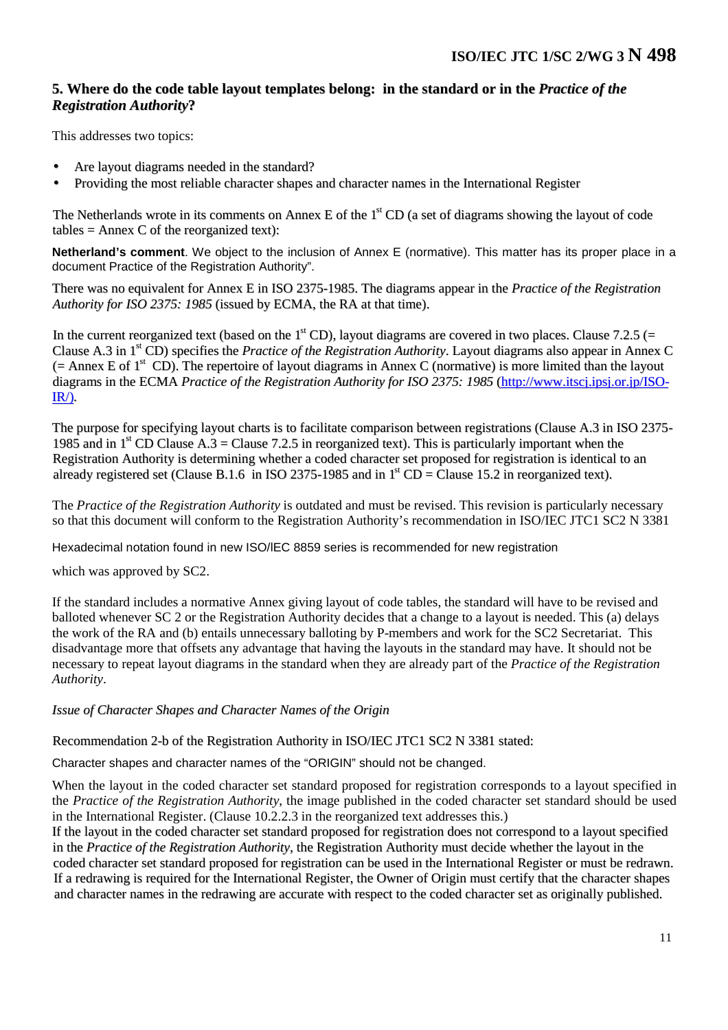## **5. Where do the code table layout templates belong: in the standard or in the** *Practice of the Registration Authority***?**

This addresses two topics:

- Are layout diagrams needed in the standard?
- Providing the most reliable character shapes and character names in the International Register

The Netherlands wrote in its comments on Annex E of the 1<sup>st</sup> CD (a set of diagrams showing the layout of code tables  $=$  Annex C of the reorganized text):

**Netherland's comment**. We object to the inclusion of Annex E (normative). This matter has its proper place in a document Practice of the Registration Authority".

There was no equivalent for Annex E in ISO 2375-1985. The diagrams appear in the *Practice of the Registration Authority for ISO 2375: 1985* (issued by ECMA, the RA at that time).

In the current reorganized text (based on the  $1<sup>st</sup>$ CD), layout diagrams are covered in two places. Clause 7.2.5 (= Clause A.3 in 1<sup>st</sup> CD) specifies the *Practice of the Registration Authority*. Layout diagrams also appear in Annex C  $($  = Annex E of 1<sup>st</sup> CD). The repertoire of layout diagrams in Annex C (normative) is more limited than the layout diagrams in the ECMA *Practice of the Registration Authority for ISO 2375: 1985* (http://www.itscj.ipsj.or.jp/ISO-IR/)*.*

The purpose for specifying layout charts is to facilitate comparison between registrations (Clause A.3 in ISO 2375- 1985 and in  $1^{st}$  CD Clause A.3 = Clause 7.2.5 in reorganized text). This is particularly important when the Registration Authority is determining whether a coded character set proposed for registration is identical to an already registered set (Clause B.1.6 in ISO 2375-1985 and in  $1<sup>st</sup>$  CD = Clause 15.2 in reorganized text).

The *Practice of the Registration Authority* is outdated and must be revised. This revision is particularly necessary so that this document will conform to the Registration Authority's recommendation in ISO/IEC JTC1 SC2 N 3381

Hexadecimal notation found in new ISO/lEC 8859 series is recommended for new registration

which was approved by SC2.

If the standard includes a normative Annex giving layout of code tables, the standard will have to be revised and balloted whenever SC 2 or the Registration Authority decides that a change to a layout is needed. This (a) delays the work of the RA and (b) entails unnecessary balloting by P-members and work for the SC2 Secretariat. This disadvantage more that offsets any advantage that having the layouts in the standard may have. It should not be necessary to repeat layout diagrams in the standard when they are already part of the *Practice of the Registration Authority*.

*Issue of Character Shapes and Character Names of the Origin*

Recommendation 2-b of the Registration Authority in ISO/IEC JTC1 SC2 N 3381 stated:

Character shapes and character names of the "ORIGIN" should not be changed.

When the layout in the coded character set standard proposed for registration corresponds to a layout specified in the *Practice of the Registration Authority*, the image published in the coded character set standard should be used in the International Register. (Clause 10.2.2.3 in the reorganized text addresses this.)

If the layout in the coded character set standard proposed for registration does not correspond to a layout specified in the *Practice of the Registration Authority*, the Registration Authority must decide whether the layout in the coded character set standard proposed for registration can be used in the International Register or must be redrawn. If a redrawing is required for the International Register, the Owner of Origin must certify that the character shapes and character names in the redrawing are accurate with respect to the coded character set as originally published.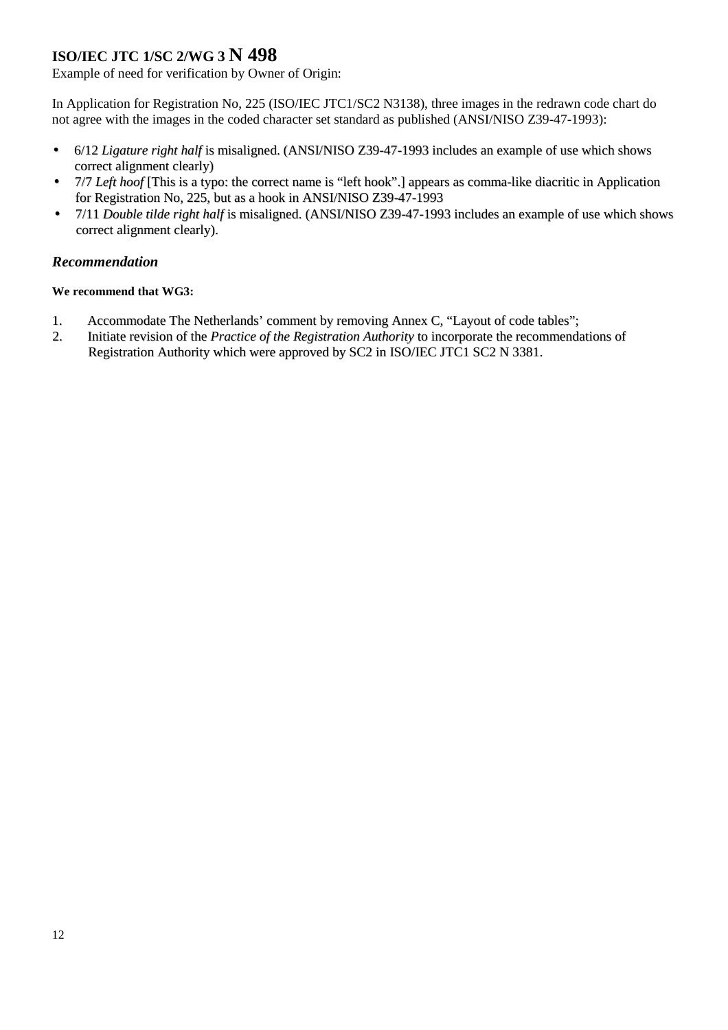Example of need for verification by Owner of Origin:

In Application for Registration No, 225 (ISO/IEC JTC1/SC2 N3138), three images in the redrawn code chart do not agree with the images in the coded character set standard as published (ANSI/NISO Z39-47-1993):

- 6/12 *Ligature right half* is misaligned. (ANSI/NISO Z39-47-1993 includes an example of use which shows correct alignment clearly)
- 7/7 *Left hoof* [This is a typo: the correct name is "left hook".] appears as comma-like diacritic in Application for Registration No, 225, but as a hook in ANSI/NISO Z39-47-1993
- 7/11 *Double tilde right half* is misaligned. (ANSI/NISO Z39-47-1993 includes an example of use which shows correct alignment clearly).

### *Recommendation*

- 1. Accommodate The Netherlands' comment by removing Annex C, "Layout of code tables";
- 2. Initiate revision of the *Practice of the Registration Authority* to incorporate the recommendations of Registration Authority which were approved by SC2 in ISO/IEC JTC1 SC2 N 3381.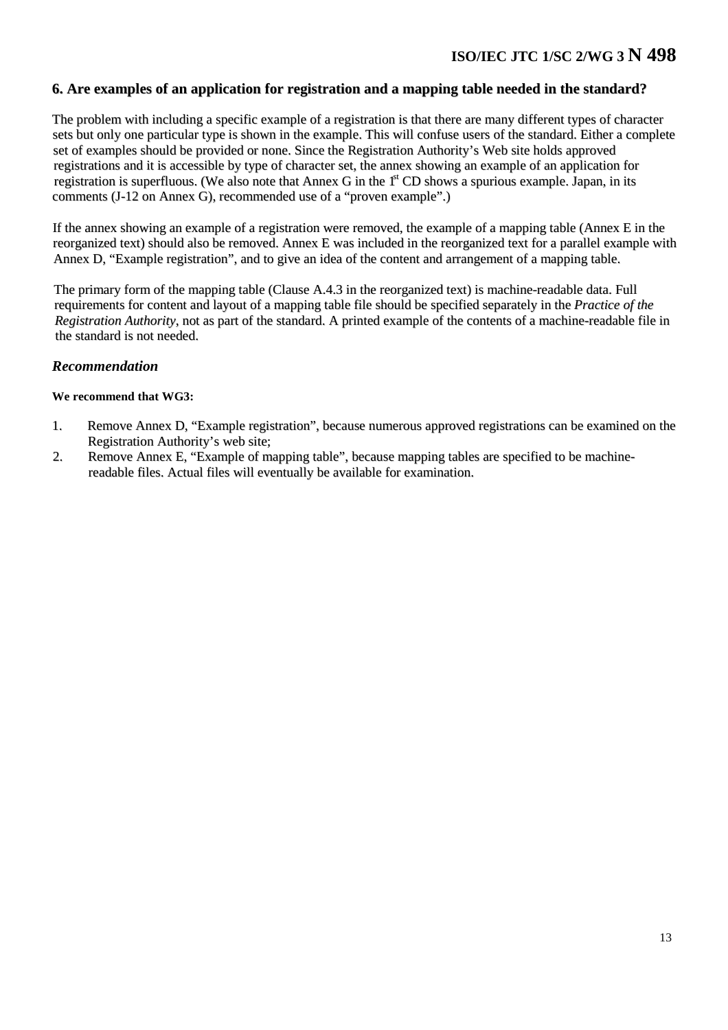### **6. Are examples of an application for registration and a mapping table needed in the standard?**

The problem with including a specific example of a registration is that there are many different types of character sets but only one particular type is shown in the example. This will confuse users of the standard. Either a complete set of examples should be provided or none. Since the Registration Authority's Web site holds approved registrations and it is accessible by type of character set, the annex showing an example of an application for registration is superfluous. (We also note that Annex G in the 1<sup>st</sup> CD shows a spurious example. Japan, in its comments (J-12 on Annex G), recommended use of a "proven example".)

If the annex showing an example of a registration were removed, the example of a mapping table (Annex E in the reorganized text) should also be removed. Annex E was included in the reorganized text for a parallel example with Annex D, "Example registration", and to give an idea of the content and arrangement of a mapping table.

The primary form of the mapping table (Clause A.4.3 in the reorganized text) is machine-readable data. Full requirements for content and layout of a mapping table file should be specified separately in the *Practice of the Registration Authority*, not as part of the standard. A printed example of the contents of a machine-readable file in the standard is not needed.

#### *Recommendation*

- 1. Remove Annex D, "Example registration", because numerous approved registrations can be examined on the Registration Authority's web site;
- 2. Remove Annex E, "Example of mapping table", because mapping tables are specified to be machinereadable files. Actual files will eventually be available for examination.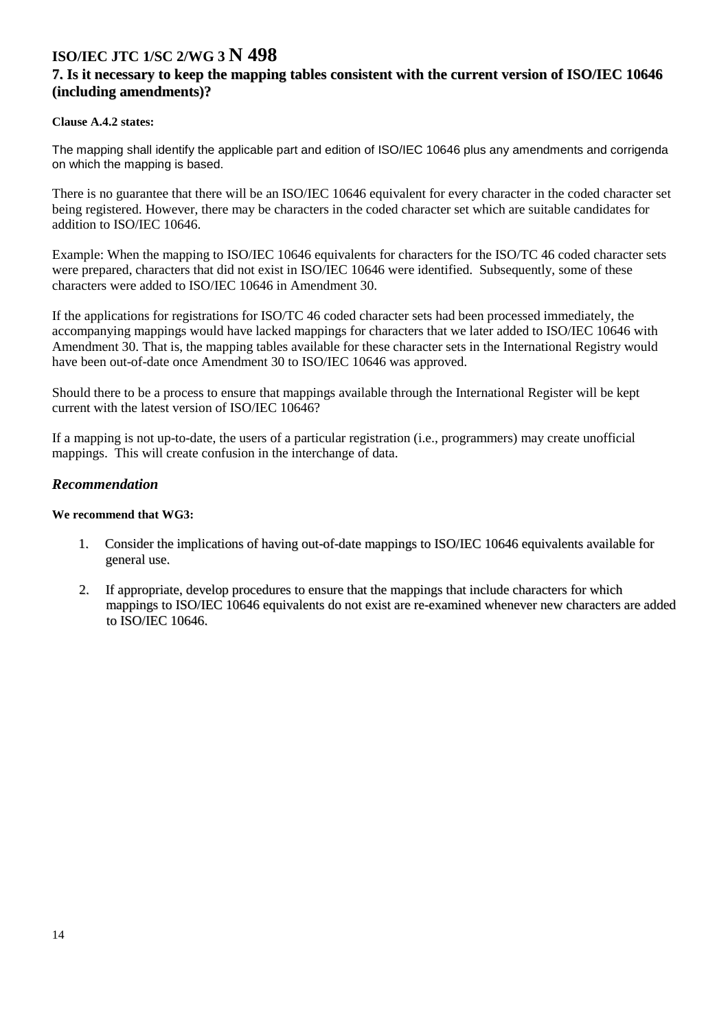### **7. Is it necessary to keep the mapping tables consistent with the current version of ISO/IEC 10646 (including amendments)?**

#### **Clause A.4.2 states:**

The mapping shall identify the applicable part and edition of ISO/IEC 10646 plus any amendments and corrigenda on which the mapping is based.

There is no guarantee that there will be an ISO/IEC 10646 equivalent for every character in the coded character set being registered. However, there may be characters in the coded character set which are suitable candidates for addition to ISO/IEC 10646.

Example: When the mapping to ISO/IEC 10646 equivalents for characters for the ISO/TC 46 coded character sets were prepared, characters that did not exist in ISO/IEC 10646 were identified. Subsequently, some of these characters were added to ISO/IEC 10646 in Amendment 30.

If the applications for registrations for ISO/TC 46 coded character sets had been processed immediately, the accompanying mappings would have lacked mappings for characters that we later added to ISO/IEC 10646 with Amendment 30. That is, the mapping tables available for these character sets in the International Registry would have been out-of-date once Amendment 30 to ISO/IEC 10646 was approved.

Should there to be a process to ensure that mappings available through the International Register will be kept current with the latest version of ISO/IEC 10646?

If a mapping is not up-to-date, the users of a particular registration (i.e., programmers) may create unofficial mappings. This will create confusion in the interchange of data.

### *Recommendation*

- 1. Consider the implications of having out-of-date mappings to ISO/IEC 10646 equivalents available for general use.
- 2. If appropriate, develop procedures to ensure that the mappings that include characters for which mappings to ISO/IEC 10646 equivalents do not exist are re-examined whenever new characters are added to ISO/IEC 10646.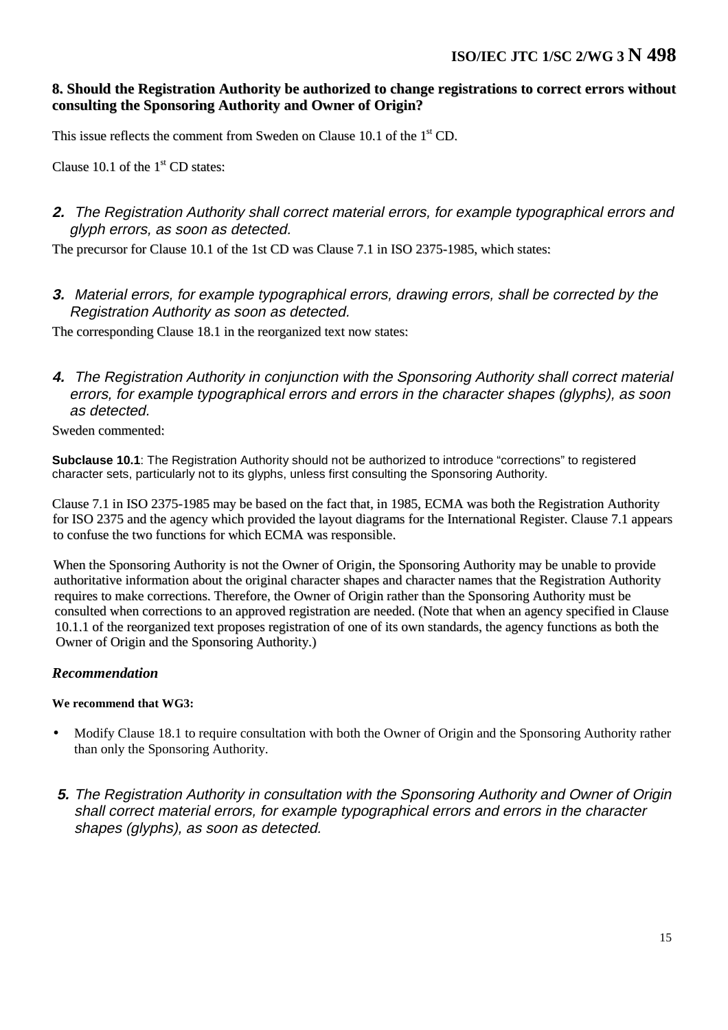## **8. Should the Registration Authority be authorized to change registrations to correct errors without consulting the Sponsoring Authority and Owner of Origin?**

This issue reflects the comment from Sweden on Clause 10.1 of the  $1<sup>st</sup>$  CD.

Clause 10.1 of the  $1<sup>st</sup>$  CD states:

## **2.** The Registration Authority shall correct material errors, for example typographical errors and glyph errors, as soon as detected.

The precursor for Clause 10.1 of the 1st CD was Clause 7.1 in ISO 2375-1985, which states:

**3.** Material errors, for example typographical errors, drawing errors, shall be corrected by the Registration Authority as soon as detected.

The corresponding Clause 18.1 in the reorganized text now states:

**4.** The Registration Authority in conjunction with the Sponsoring Authority shall correct material errors, for example typographical errors and errors in the character shapes (glyphs), as soon as detected.

Sweden commented:

**Subclause 10.1**: The Registration Authority should not be authorized to introduce "corrections" to registered character sets, particularly not to its glyphs, unless first consulting the Sponsoring Authority.

Clause 7.1 in ISO 2375-1985 may be based on the fact that, in 1985, ECMA was both the Registration Authority for ISO 2375 and the agency which provided the layout diagrams for the International Register. Clause 7.1 appears to confuse the two functions for which ECMA was responsible.

When the Sponsoring Authority is not the Owner of Origin, the Sponsoring Authority may be unable to provide authoritative information about the original character shapes and character names that the Registration Authority requires to make corrections. Therefore, the Owner of Origin rather than the Sponsoring Authority must be consulted when corrections to an approved registration are needed. (Note that when an agency specified in Clause 10.1.1 of the reorganized text proposes registration of one of its own standards, the agency functions as both the Owner of Origin and the Sponsoring Authority.)

## *Recommendation*

- Modify Clause 18.1 to require consultation with both the Owner of Origin and the Sponsoring Authority rather than only the Sponsoring Authority.
- **5.** The Registration Authority in consultation with the Sponsoring Authority and Owner of Origin shall correct material errors, for example typographical errors and errors in the character shapes (glyphs), as soon as detected.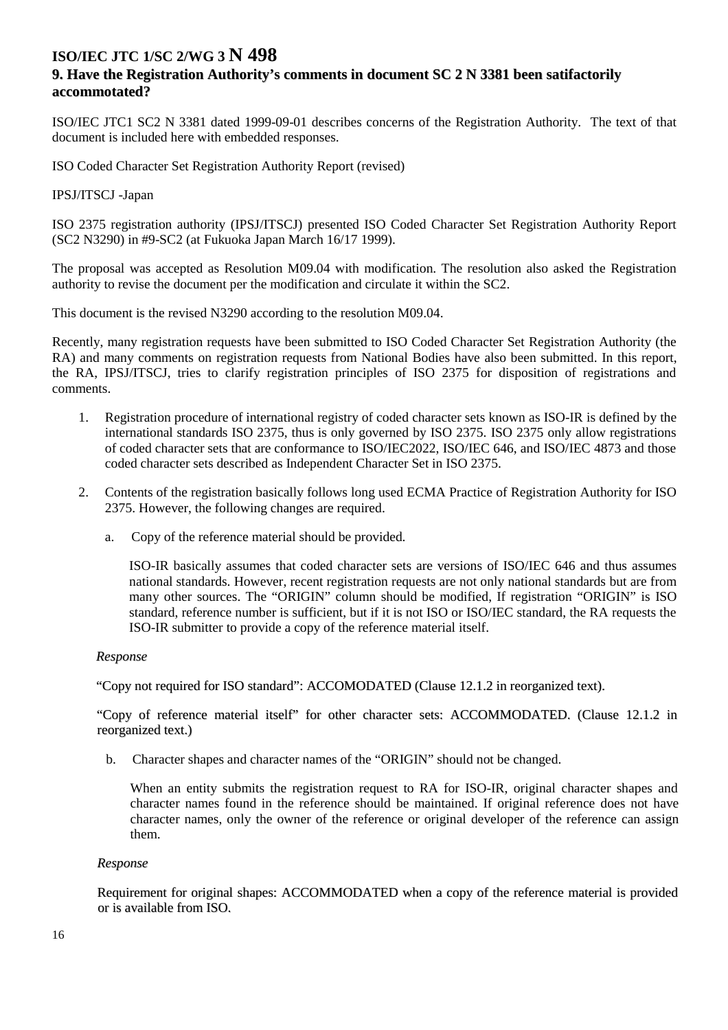### **9. Have the Registration Authority's comments in document SC 2 N 3381 been satifactorily accommotated?**

ISO/IEC JTC1 SC2 N 3381 dated 1999-09-01 describes concerns of the Registration Authority. The text of that document is included here with embedded responses.

ISO Coded Character Set Registration Authority Report (revised)

#### IPSJ/ITSCJ -Japan

ISO 2375 registration authority (IPSJ/ITSCJ) presented ISO Coded Character Set Registration Authority Report (SC2 N3290) in #9-SC2 (at Fukuoka Japan March 16/17 1999).

The proposal was accepted as Resolution M09.04 with modification. The resolution also asked the Registration authority to revise the document per the modification and circulate it within the SC2.

This document is the revised N3290 according to the resolution M09.04.

Recently, many registration requests have been submitted to ISO Coded Character Set Registration Authority (the RA) and many comments on registration requests from National Bodies have also been submitted. In this report, the RA, IPSJ/ITSCJ, tries to clarify registration principles of ISO 2375 for disposition of registrations and comments.

- 1. Registration procedure of international registry of coded character sets known as ISO-IR is defined by the international standards ISO 2375, thus is only governed by ISO 2375. ISO 2375 only allow registrations of coded character sets that are conformance to ISO/IEC2022, ISO/IEC 646, and ISO/IEC 4873 and those coded character sets described as Independent Character Set in ISO 2375.
- 2. Contents of the registration basically follows long used ECMA Practice of Registration Authority for ISO 2375. However, the following changes are required.
	- a. Copy of the reference material should be provided.

ISO-IR basically assumes that coded character sets are versions of ISO/IEC 646 and thus assumes national standards. However, recent registration requests are not only national standards but are from many other sources. The "ORIGIN" column should be modified, If registration "ORIGIN" is ISO standard, reference number is sufficient, but if it is not ISO or ISO/IEC standard, the RA requests the ISO-IR submitter to provide a copy of the reference material itself.

#### *Response*

"Copy not required for ISO standard": ACCOMODATED (Clause 12.1.2 in reorganized text).

"Copy of reference material itself" for other character sets: ACCOMMODATED. (Clause 12.1.2 in reorganized text.)

b. Character shapes and character names of the "ORIGIN" should not be changed.

When an entity submits the registration request to RA for ISO-IR, original character shapes and character names found in the reference should be maintained. If original reference does not have character names, only the owner of the reference or original developer of the reference can assign them.

#### *Response*

Requirement for original shapes: ACCOMMODATED when a copy of the reference material is provided or is available from ISO.